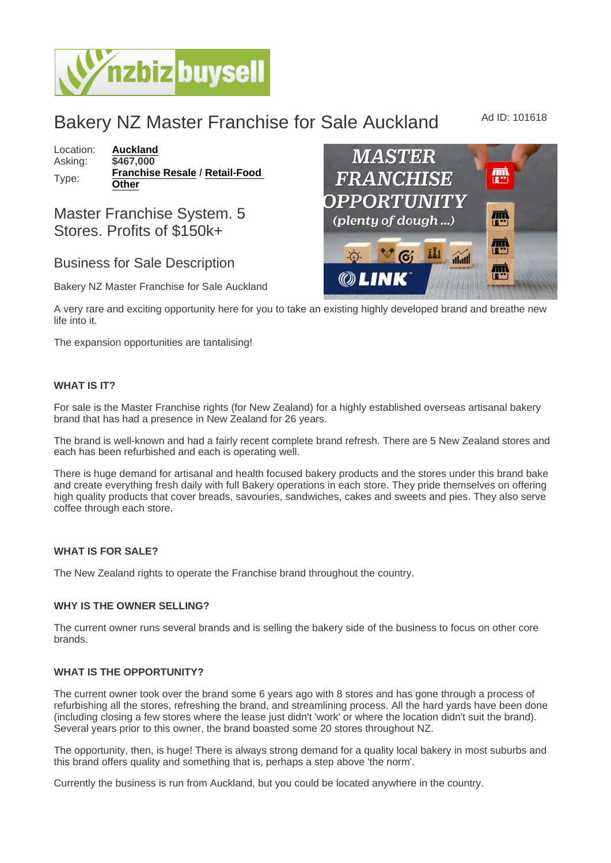# Bakery NZ Master Franchise for Sale Auckland Ad ID: 101618

Location: [Auckland](https://www.nzbizbuysell.co.nz/businesses-for-sale/location/Auckland) Asking: \$467,000 Type: [Franchise Resale](https://www.nzbizbuysell.co.nz/businesses-for-sale/Franchise-Resale/New-Zealand) / Retail-Food **[Other](https://www.nzbizbuysell.co.nz/businesses-for-sale/Retail-Food--Beverage/New-Zealand)** 

## Master Franchise System. 5 Stores. Profits of \$150k+

### Business for Sale Description

Bakery NZ Master Franchise for Sale Auckland

A very rare and exciting opportunity here for you to take an existing highly developed brand and breathe new life into it.

The expansion opportunities are tantalising!

#### WHAT IS IT?

For sale is the Master Franchise rights (for New Zealand) for a highly established overseas artisanal bakery brand that has had a presence in New Zealand for 26 years.

The brand is well-known and had a fairly recent complete brand refresh. There are 5 New Zealand stores and each has been refurbished and each is operating well.

There is huge demand for artisanal and health focused bakery products and the stores under this brand bake and create everything fresh daily with full Bakery operations in each store. They pride themselves on offering high quality products that cover breads, savouries, sandwiches, cakes and sweets and pies. They also serve coffee through each store.

#### WHAT IS FOR SALE?

The New Zealand rights to operate the Franchise brand throughout the country.

#### WHY IS THE OWNER SELLING?

The current owner runs several brands and is selling the bakery side of the business to focus on other core brands.

#### WHAT IS THE OPPORTUNITY?

The current owner took over the brand some 6 years ago with 8 stores and has gone through a process of refurbishing all the stores, refreshing the brand, and streamlining process. All the hard yards have been done (including closing a few stores where the lease just didn't 'work' or where the location didn't suit the brand). Several years prior to this owner, the brand boasted some 20 stores throughout NZ.

The opportunity, then, is huge! There is always strong demand for a quality local bakery in most suburbs and this brand offers quality and something that is, perhaps a step above 'the norm'.

Currently the business is run from Auckland, but you could be located anywhere in the country.